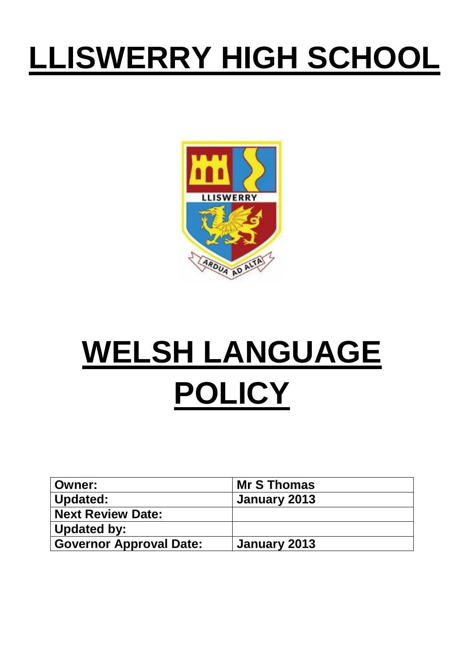## **LLISWERRY HIGH SCHOOL**



## **WELSH LANGUAGE POLICY**

| <b>Owner:</b>                  | <b>Mr S Thomas</b> |
|--------------------------------|--------------------|
| Updated:                       | January 2013       |
| <b>Next Review Date:</b>       |                    |
| Updated by:                    |                    |
| <b>Governor Approval Date:</b> | January 2013       |